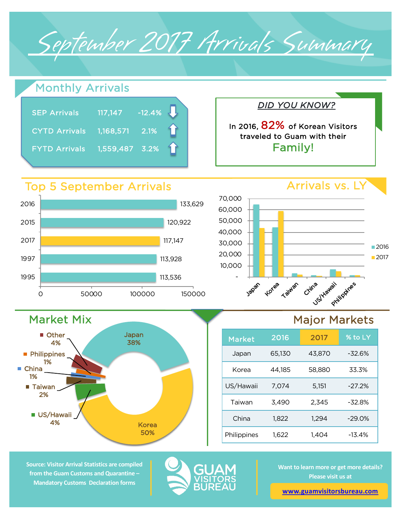September 2017 Arrivals Summary



**Source: Visitor Arrival Statistics are compiled from the Guam Customs and Quarantine – Mandatory Customs Declaration forms** 

**US/Hawaii** 4%



Korea 50%

> **Want to learn more or get more details? Please visit us at**

China 1,822 1,294 -29.0%

Philippines 1,622 1,404 -13.4%

**www.guamvisitorsbureau.com**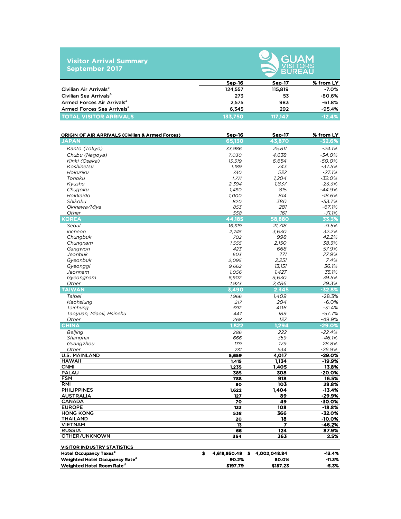|                       | <b>Visitor Arrival Summary</b> |
|-----------------------|--------------------------------|
| <b>September 2017</b> |                                |



|                                        | Sep-16  | Sep-17  | % from LY |
|----------------------------------------|---------|---------|-----------|
| Civilian Air Arrivals <sup>a</sup>     | 124,557 | 115,819 | $-7.0%$   |
| Civilian Sea Arrivals <sup>a</sup>     | 273     | 53      | $-80.6%$  |
| Armed Forces Air Arrivals <sup>a</sup> | 2.575   | 983     | -61.8%    |
| Armed Forces Sea Arrivals <sup>a</sup> | 6.345   | 292     | $-95.4%$  |
| <b>TOTAL VISITOR ARRIVALS</b>          | 133.750 | 117.147 | $-12.4%$  |

| <b>ORIGIN OF AIR ARRIVALS (Civilian &amp; Armed Forces)</b> | Sep-16                   | <b>Sep-17</b>          | % from LY          |
|-------------------------------------------------------------|--------------------------|------------------------|--------------------|
| <b>JAPAN</b>                                                | 65,130                   | 43.870                 | $-32.6%$           |
| Kanto (Tokyo)                                               | 33,986                   | 25,811                 | $-24.1%$           |
| Chubu (Nagoya)                                              | 7,030                    | 4,638                  | -34.0%             |
| Kinki (Osaka)                                               | 13,319                   | 6,654                  | $-50.0%$           |
| Koshinetsu                                                  | 1,189                    | 743                    | $-37.5%$           |
| Hokuriku                                                    | 730                      | 532                    | $-27.1%$           |
| Tohoku                                                      | 1.771                    | 1.204                  | $-32.0%$           |
| Kyushu                                                      | 2,394                    | 1.837                  | $-23.3%$           |
| Chugoku                                                     | 1,480                    | 815                    | $-44.9%$           |
| Hokkaido                                                    | 1,000                    | 814                    | $-18.6%$           |
| Shikoku                                                     | 820                      | 380                    | $-53.7%$           |
| Okinawa/Miya                                                | 853                      | 281                    | $-67.1%$           |
| Other                                                       | 558                      | 161                    | $-71.1%$           |
| <b>KOREA</b>                                                | 44,185                   | 58,880                 | 33.3%              |
| Seoul                                                       | 16,519                   | 21,718                 | 31.5%              |
| <i>Incheon</i>                                              | 2,745                    | 3,630                  | 32.2%              |
| Chungbuk                                                    | 702                      | 998                    | 42.2%              |
| Chungnam                                                    | 1,555                    | 2,150                  | 38.3%              |
| Gangwon                                                     | 423                      | 668                    | 57.9%              |
| Jeonbuk                                                     | 603                      | 771                    | 27.9%              |
| Gyeonbuk                                                    | 2,095                    | 2.251                  | 7.4%               |
| Gyeonggi                                                    | 9,662                    | 13,151                 | 36.1%              |
| Jeonnam                                                     | 1,056                    | 1,427                  | 35.1%              |
| Gyeongnam                                                   | 6,902                    | 9,630                  | 39.5%              |
| Other                                                       | 1,923                    | 2,486                  | 29.3%              |
| <b>TAIWAN</b>                                               | 3,490                    | 2.345                  | $-32.8%$           |
| Taipei                                                      | 1.966                    | 1.409                  | $-28.3%$           |
| Kaohsiung                                                   | 217                      | 204                    | $-6.0%$            |
| Taichung                                                    | 592                      | 406                    | $-31.4%$           |
| Taoyuan, Miaoli, Hsinehu                                    | 447                      | 189                    | $-57.7%$           |
| Other                                                       | 268                      | 137                    | -48.9%             |
| <b>CHINA</b>                                                | 1,822                    | 1,294                  | $-29.0%$           |
| Beijing                                                     | 286                      | 222                    | $-22.4%$           |
| Shanghai                                                    | 666                      | 359                    | $-46.1%$           |
| Guangzhou                                                   | 139                      | 179                    | 28.8%              |
| Other                                                       | 731                      | 534                    | $-26.9%$           |
| <b>U.S. MAINLAND</b>                                        | 5,659                    | 4,017                  | -29.0%             |
| <b>HAWAII</b>                                               | 1,415                    | 1.134                  | -19.9%             |
| <b>CNMI</b>                                                 | 1,235                    | 1,405                  | 13.8%              |
| <b>PALAU</b>                                                | 385                      | 308                    | $-20.0%$           |
| <b>FSM</b>                                                  | 788                      | 918                    | 16.5%              |
| <b>RMI</b>                                                  | 80                       | 103                    | 28.8%              |
| <b>PHILIPPINES</b>                                          | 1,622                    | 1,404                  | -13.4%             |
| <b>AUSTRALIA</b>                                            | 127                      | 89                     | -29.9%             |
| <b>CANADA</b><br><b>EUROPE</b>                              | 70<br>133                | 49<br>$\overline{108}$ | -30.0%<br>$-18.8%$ |
| <b>HONG KONG</b>                                            | 538                      | 366                    | -32.0%             |
| <b>THAILAND</b>                                             | 20                       | 18                     | $-10.0%$           |
| <b>VIETNAM</b>                                              | 13                       | 7                      | $-46.2%$           |
| <b>RUSSIA</b>                                               | 66                       | 124                    | 87.9%              |
| OTHER/UNKNOWN                                               | 354                      | 363                    | 2.5%               |
|                                                             |                          |                        |                    |
| <b>VISITOR INDUSTRY STATISTICS</b>                          |                          |                        |                    |
| <b>Hotel Occupancy Taxes<sup>c</sup></b>                    | \$<br>4,618,950.49<br>s. | 4,002,048.84           | $-13.4%$           |
| Weighted Hotel Occupancy Rate <sup>d</sup>                  | 90.2%                    | 80.0%                  | $-11.3%$           |
| Weighted Hotel Room Rate <sup>d</sup>                       | \$197.79                 | \$187.23               | $-5.3%$            |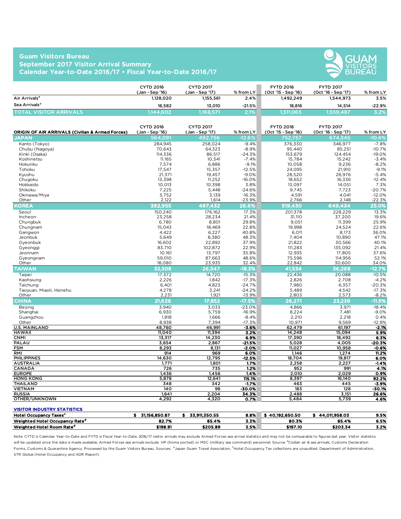## **Guam Visitors Bureau September 2017 Visitor Arrival Summary Calendar Year-to-Date 2016/17 • Fiscal Year-to-Date 2016/17**



|                                | <b>CYTD 2016</b><br>(Jan - Sep '16) | <b>CYTD 2017</b><br>(Jan - Sep '17) | $%$ from LY | <b>FYTD 2016</b><br>(Oct '15 - Sep '16) | <b>FYTD 2017</b><br>(Oct '16 - Sep '17) | $%$ from LY |
|--------------------------------|-------------------------------------|-------------------------------------|-------------|-----------------------------------------|-----------------------------------------|-------------|
| Air Arrivals <sup>a</sup>      | 1,128,020                           | 1,155,561                           | $2.4\%$     | 1.492.249                               | 1.544.973                               | 3.5%        |
| Sea Arrivals <sup>a</sup>      | 16.582                              | 13.010                              | $-21.5%$    | 18,816                                  | 14.514                                  | -22.9%      |
| <b>TOTAL VISITOR ARRIVALS.</b> | 1.144.6021                          | .168.571                            | 2.1%        | 1.511.065                               | 1,559,487                               | 3.2%        |

| <b>ORIGIN OF AIR ARRIVALS (Civilian &amp; Armed Forces)</b> | <b>CYTD 2016</b><br>(Jan - Sep '16) | <b>CYTD 2017</b><br>(Jan - Sep '17) | % from LY        | <b>FYTD 2016</b><br>(Oct '15 - Sep '16) | <b>FYTD 2017</b><br>(Oct '16 - Sep '17) | % from LY     |
|-------------------------------------------------------------|-------------------------------------|-------------------------------------|------------------|-----------------------------------------|-----------------------------------------|---------------|
| <b>JAPAN</b>                                                | 564,091                             | 492,756                             | $-12.6%$         | 752,757                                 | 674,345                                 | $-10.4%$      |
| Kanto (Tokyo)                                               | 284.945                             | 258,024                             | $-9.4%$          | 376.330                                 | 346,977                                 | $-7.8%$       |
| Chubu (Nagoya)                                              | 70,643                              | 64,323                              | $-8.9%$          | 95,440                                  | 85,251                                  | $-10.7%$      |
| Kinki (Osaka)                                               | 114,336                             | 86,517                              | $-24.3%$         | 153,679                                 | 124,454                                 | $-19.0%$      |
| Koshinetsu                                                  | 11,165                              | 10,341                              | $-7.4%$          | 15,784                                  | 15,242                                  | $-3.4%$       |
| Hokuriku                                                    | 7,574                               | 6,886                               | $-9.1%$          | 10,058                                  | 9,236                                   | $-8.2%$       |
| Tohoku                                                      | 17,547                              | 15,357                              | $-12.5%$         | 24,095                                  | 21,910                                  | $-9.1%$       |
| Kyushu                                                      | 21,371                              | 19,457                              | $-9.0%$          | 28,520                                  | 26,976                                  | $-5.4%$       |
| Chugoku                                                     | 13,398                              | 11,252                              | $-16.0%$         | 18,652                                  | 16,336                                  | $-12.4%$      |
| Hokkaido                                                    | 10,013                              | 10,398                              | 3.8%             | 13,097                                  | 14,051                                  | 7.3%          |
| Shikoku                                                     | 7,225                               | 5,448                               | $-24.6%$         | 9,745                                   | 7,723                                   | $-20.7%$      |
| Okinawa/Miya                                                | 3,752                               | 3,139                               | $-16.3%$         | 4,591                                   | 4,041                                   | $-12.0%$      |
| Other                                                       | 2,122                               | 1,614                               | $-23.9%$         | 2,766                                   | 2,148                                   | $-22.3%$      |
| <b>KOREA</b>                                                | 392.955                             | 497.432                             | 26.6%            | 519,430                                 | 649,434                                 | 25.0%         |
| Seoul                                                       | 150,240                             | 176,162                             | 17.3%            | 201,378                                 | 228,229                                 | 13.3%         |
| Incheon                                                     | 23.258                              | 28,234                              | 21.4%            | 31.110                                  | 37.200                                  | 19.6%         |
| Chungbuk                                                    | 6,780                               | 8,801                               | 29.8%            | 9,051                                   | 11,399                                  | 25.9%         |
| Chungnam                                                    | 15,043                              | 18,469                              | 22.8%            | 19,998                                  | 24,524                                  | 22.6%         |
| Gangwon                                                     | 4,422                               | 6,227                               | 40.8%            | 6,011                                   | 8,173                                   | 36.0%         |
| Jeonbuk                                                     | 5,649                               | 8,380                               | 48.3%            | 7.404                                   | 10,890                                  | 47.1%         |
| Gyeonbuk                                                    | 16.602                              | 22,892                              | 37.9%            | 21,822                                  | 30,566                                  | 40.1%         |
| Gyeonggi                                                    | 83,710                              | 102,872                             | 22.9%            | 111,283                                 | 135,092                                 | 21.4%         |
| Jeonnam                                                     | 10.161                              | 13.797                              | 35.8%            | 12,935                                  | 17,805                                  | 37.6%         |
| Gyeongnam                                                   | 59,010                              | 87,663                              | 48.6%            | 75,596                                  | 114,956                                 | 52.1%         |
| Other                                                       | 18.080                              | 23,935                              | 32.4%            | 22,842                                  | 30,600                                  | 34.0%         |
| <b>TAIWAN</b>                                               | 32.508                              | 26,547                              | $-18.3%$         | 41,534                                  | 36.268                                  | $-12.7%$      |
| Taipei                                                      | 17,372                              | 14,720                              | $-15.3%$         | 22,436                                  | 20,088                                  | $-10.5%$      |
| Kaohsiung                                                   | 2,226                               | 1,842                               | $-17.3%$         | 2,826                                   | 2,708                                   | $-4.2%$       |
| Taichung                                                    | 6,401                               | 4,823                               | $-24.7%$         | 7,980                                   | 6,357                                   | $-20.3%$      |
| Taoyuan, Miaoli, Hsinehu                                    | 4,278                               | 3,241                               | $-24.2%$         | 5,489                                   | 4,542                                   | $-17.3%$      |
| Other                                                       | 2,231                               | 1,921                               | $-13.9%$         | 2,803                                   | 2,573                                   | $-8.2%$       |
| <b>CHINA</b>                                                | 21,626                              | 17,852                              | $-17.5%$         | 26,271                                  | 23.239                                  | $-11.5%$      |
| <b>Beijing</b>                                              | 3,940                               | 3,033                               | $-23.0%$         | 4,866                                   | 3,971                                   | $-18.4%$      |
| Shanghai                                                    | 6,930                               | 5,759                               | $-16.9%$         | 8,224                                   | 7,481                                   | $-9.0%$       |
| Guangzhou                                                   | 1,818                               | 1,666                               | $-8.4%$          | 2,210                                   | 2,218                                   | 0.4%          |
| Other                                                       | 8,938                               | 7,394                               | $-17.3%$         | 10,971                                  | 9,569                                   | $-12.8%$      |
| <b>U.S. MAINLAND</b>                                        | 48,760                              | 46,991                              | $-3.6%$          | 62,479                                  | 61,197                                  | $-2.1%$       |
| <b>HAWAII</b>                                               | 11,040                              | 11,394                              | 3.2%             | 14,248                                  | 15,094                                  | 5.9%          |
| <b>CNMI</b>                                                 | 13,317                              | 14,230                              | 6.9%             | 17,390                                  | 18,492                                  | 6.3%          |
| PALAU                                                       | 3,654                               | 2,867                               | $-21.5%$         | 5,028                                   | 4,005                                   | $-20.3%$      |
| <b>FSM</b><br>RMI                                           | 8,293<br>914                        | 8,131<br>969                        | $-2.0%$          | 11,027<br>1,146                         | 10,958                                  | $-0.6%$       |
| <b>PHILIPPINES</b>                                          | 14,630                              | 12,795                              | 6.0%<br>$-12.5%$ | 18,704                                  | 1,274<br>19,817                         | 11.2%<br>6.0% |
| <b>AUSTRALIA</b>                                            | 1,771                               | 1,801                               | 1.7%             | 2,258                                   | 2,227                                   | $-1.4%$       |
| CANADA                                                      | 726                                 | 735                                 | 1.2%             | 952                                     | 991                                     | 4.1%          |
| <b>EUROPE</b>                                               | 1,436                               | 1,456                               | 1.4%             | 2,010                                   | 2,029                                   | 0.9%          |
| <b>HONG KONG</b>                                            | 5,878                               | 12,641                              | 115.1%           | 8,397                                   | 16,140                                  | 92.2%         |
| <b>THAILAND</b>                                             | 348                                 | 342                                 | $-1.7%$          | 463                                     | 445                                     | $-3.9%$       |
| <b>VIETNAM</b>                                              | $\overline{140}$                    | 98                                  | $-30.0%$         | 183                                     | 128                                     | $-30.1%$      |
| <b>RUSSIA</b>                                               | 1,641                               | 2,204                               | 34.3%            | 2,488                                   | 3,151                                   | 26.6%         |
| OTHER/UNKNOWN                                               | 4,292                               | 4,320                               | 0.7%             | 5,484                                   | 5,739                                   | 4.6%          |

## VISITOR INDUSTRY STATISTICS

| <b>Hotel Occupancy</b><br>/ Taxes'         | 31.156.850.87 | 33.911.350.55 | 8.8% | 40.192.650.50 | .011.958.03 | 9.5% |
|--------------------------------------------|---------------|---------------|------|---------------|-------------|------|
| Weighted Hotel Occupancy Rate <sup>d</sup> | 82.7%         | 85.4%         | 3.3% | 80.3%         | 85.4%       | 6.5% |
| Weighted Hotel Room Rate <sup>d</sup>      | \$198.91      | \$205.89      | 3.5% | \$197.10      | \$203.34    | 3.2% |

Note: CYTD is Calendar Year-to-Date and FYTD is Fiscal Year-to-Date. 2016/17 visitor arrivals may exclude Armed Forces sea arrival statistics and may not be comparable to figures last year. Visitor statistics will be updated once the data is made available. Armed Forces sea arrivals exclude HP (home ported) or MSC (military sea command) personnel. Source: <sup>a</sup>Civilian air & sea arrivals. Customs Declaration Forms, Customs & Quarantine Agency. Processed by the Guam Visitors Bureau. Sources: bJapan Guam Travel Association, <sup>c</sup>Hotel Occupancy Tax collections are unaudited. Department of Administration, STR Global (Hotel Occupancy and ADR Report)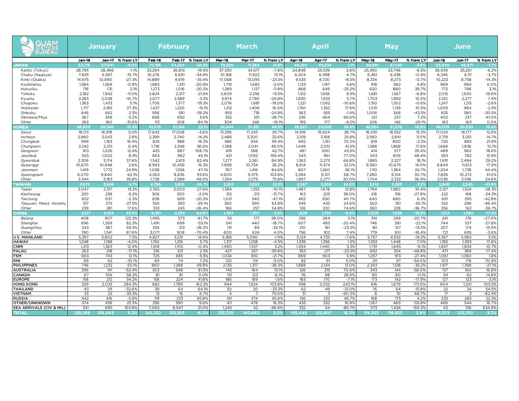| GUAM<br><b>JUAN</b><br>JISITORE |            | January       |                     |              | <b>February</b> |                      |                       | <b>March</b>  |                      |            |            |                      |               |               |                      |                 |               | <b>April</b>         |  | <b>May</b> |  |  |  | June |  |  |
|---------------------------------|------------|---------------|---------------------|--------------|-----------------|----------------------|-----------------------|---------------|----------------------|------------|------------|----------------------|---------------|---------------|----------------------|-----------------|---------------|----------------------|--|------------|--|--|--|------|--|--|
|                                 | Jan-16     | <b>Jan-17</b> | % from LY           | Feb-16       | Feb-17          | % from LY            | <b>Mar-16</b>         | <b>Mar-17</b> | % from LY            | Apr-16     | Apr-17     | % from LY            | <b>May-16</b> | <b>May-17</b> | % from LY            | <b>Jun-16</b>   | <b>Jun-17</b> | % from LY            |  |            |  |  |  |      |  |  |
| <b>IAPAN</b>                    | 62.71      | 57,041        | -9.09               | 71.796       | 54.354          | $-24.3$              | 79.256                | 71,384        | -9.99                | 49.295     | 49,834     |                      | 48.89         | 47.140        | $-3.6'$              | 53,040          | 48,971        | $-7.7%$              |  |            |  |  |  |      |  |  |
| Kanto (Tokyo)                   | 28,795     | 28,466        | $-1.1%$             | 33,294       | 26,813          | $-19.5%$             | 37,530                | 34,617        | $-7.8%$              | 24,848     | 25,539     | 2.8%                 | 25,390        | 23,746        | $-6.5%$              | 26,939          | 25,261        | $-6.2%$              |  |            |  |  |  |      |  |  |
| Chubu (Nagoya)                  | 7,825      | 6,597         | $-15.7%$            | 10,276       | 6,691           | $-34.9%$             | 10,168                | 11,502        | 13.1%                | 6,204      | 6,498      | 4.7%                 | 6,461         | 6,438         | $-0.4%$              | 6,346           | 6,111         | $-3.7%$              |  |            |  |  |  |      |  |  |
| Kinki (Osaka)                   | 14,975     | 10,890        | $-27.3%$            | 14,889       | 9,619           | $-35.4%$             | 17,068                | 13,095        | $-23.3%$             | 9,535      | 8,720      | $-8.5%$              | 8,334         | 8,273         | $-0.7%$              | 10,223          | 8,758         | $-14.3%$             |  |            |  |  |  |      |  |  |
| Koshinetsu                      | 1,584      | 1,569         | $-0.9%$             | 1,683        | 1,331           | $-20.9%$             | 1.719                 | 1,685         | $-2.0%$              | 1,133      | 1,197      | 5.6%                 | 918           | 962           | 4.8%                 | 969             | 969           | 0.0%                 |  |            |  |  |  |      |  |  |
| Hokuriku                        | 716        | 731           | 2.1%                | 1,273        | 1,016           | $-20.2%$             | 1.289                 | 1,137         | $-11.8%$             | 868        | 649        | $-25.2%$             | 630           | 880           | 39.7%                | 772             | 796           | 3.1%                 |  |            |  |  |  |      |  |  |
| Tohoku                          | 2.182      | 1.942         | $-11.0%$            | 2.824        | 2.217           | $-21.5%$             | 2.609                 | 2.256         | $-13.5%$             | 1.512      | 1.656      | 9.5%                 | 1.681         | 1.567         | $-6.8%$              | 2.015           | 1.620         | $-19.6%$             |  |            |  |  |  |      |  |  |
| Kyushu                          | 2,283      | 2,038         | $-10.7%$            | 2,677        | 2,589           | $-3.3%$              | 3.974                 | 2,790         | $-29.8%$             | 1,830      | 1,935      | 5.7%                 | 1.703         | 1,882         | 10.5%                | 2,120           | 2,277         | 7.4%                 |  |            |  |  |  |      |  |  |
| Chugoku                         | 1.363      | 1.433         | 5.1%                | 1.706        | 1.377           | $-19.3%$             | 2.076                 | 1.681         | $-19.0%$             | 1.221      | 1.092      | $-10.6%$             | 1.310         | 1.302         | $-0.6%$              | 1.247           | 1.215         | $-2.6%$              |  |            |  |  |  |      |  |  |
| Hokkaido                        | 1.717      | 2,185         | 27.3%               | 1,437        | 1,220           | $-15.1%$             | 1.212                 | 1,406         | 16.0%                | 1,150      | 1,352      | 17.6%                | 1.031         | 1,139         | 10.5%                | 1,009           | 984<br>580    | $-2.5%$              |  |            |  |  |  |      |  |  |
| Shikoku                         | 646<br>367 | 662<br>348    | 2.5%<br>$-5.2%$     | 956<br>668   | 581<br>692      | $-39.2%$<br>3.6%     | 955<br>352            | 718<br>251    | $-24.8%$<br>$-28.7%$ | 563<br>236 | 555<br>464 | $-1.4%$<br>96.6%     | 1.006<br>221  | 568<br>237    | $-43.5%$<br>7.2%     | 835<br>402      | 237           | $-30.5%$<br>$-41.0%$ |  |            |  |  |  |      |  |  |
| Okinawa/Miya<br>Other           | 263        | 180           | $-31.6%$            | 113          | 208             | 84.1%                | 304                   | 246           | $-19.1%$             | 195        | 177        | $-9.2%$              | 206           | 146           | $-29.1%$             | 163             | 163           | 0.0%                 |  |            |  |  |  |      |  |  |
| <b>OREA</b>                     | 48.859     | 56.340        | 15.39               | 41.576       | 51.184          | 23.19                | 34.444                | 51.391        | 49.2                 | 38.667     | 53.520     | 38.4%                | 43.354        | 51.576        | 19.09                | 46.078          | 55.033        | 19.4%                |  |            |  |  |  |      |  |  |
| Seoul                           | 18.011     | 18,918        | 5.0%                | 17,642       | 17,008          | $-3.6%$              | 13,296                | 17.245        | 29.7%                | 14.918     | 19.204     | 28.7%                | 16,091        | 18,552        | 15.3%                | 17,024          | 19.177        | 12.6%                |  |            |  |  |  |      |  |  |
| Incheon                         | 2,960      | 3,043         | 2.8%                | 2,399        | 2,740           | 14.2%                | 2,488                 | 3,300         | 32.6%                | 2,519      | 3,168      | 25.8%                | 2,560         | 2,841         | 11.0%                | 2,719           | 3,120         | 14.7%                |  |            |  |  |  |      |  |  |
| Chungbuk                        | 999        | 1,183         | 18.4%               | 835          | 988             | 18.3%                | 586                   | 934           | 59.4%                | 682        | 1,161      | 70.2%                | 819           | 800           | $-2.3%$              | 726             | 885           | 21.9%                |  |            |  |  |  |      |  |  |
| Chungnam                        | 2,242      | 2,251         | 0.4%                | 1,718        | 2,346           | 36.6%                | 1,398                 | 2,041         | 46.0%                | 1,449      | 2,051      | 41.5%                | 1,588         | 1,868         | 17.6%                | 1,668           | 1,836         | 10.1%                |  |            |  |  |  |      |  |  |
| Gangwon                         | 913        | 1,026         | 12.4%               | 425          | 887             | 108.7%               | 419                   | 598           | 42.7%                | 481        | 690        | 43.5%                | 414           | 577           | 39.4%                | 489             | 580           | 18.6%                |  |            |  |  |  |      |  |  |
| Jeonbuk                         | 925        | 1,002         | 8.3%                | 663          | 962             | 45.1%                | 421                   | 1,092         | 159.4%               | 543        | 961        | 77.0%                | 543           | 806           | 48.4%                | 593             | 782           | 31.9%                |  |            |  |  |  |      |  |  |
| Gyeonbuk                        | 2,306      | 3,174         | 37.6%               | 1,542        | 2,813           | 82.4%                | 1,277                 | 2,361         | 84.9%                | 1,363      | 2,273      | 66.8%                | 1,885         | 2,227         | 18.1%                | 1,931           | 2,494         | 29.2%                |  |            |  |  |  |      |  |  |
| Gyeonggi                        | 10,670     | 10,948        | 2.6%                | 8,993        | 10,459          | 16.3%                | 7,898                 | 10,754        | 36.2%                | 8,614      | 11,374     | 32.0%                | 9.360         | 10,675        | 14.0%                | 9.849           | 11,613        | 17.9%                |  |            |  |  |  |      |  |  |
| Jeonnam                         | 1,419      | 1,772         | 24.9%               | 1,058        | 1,556           | 47.1%                | 767                   | 1,416         | 84.6%                | 807        | 1,260      | 56.1%                | 1,110         | 1,384         | 24.7%                | 1,204           | 1,738         | 44.4%                |  |            |  |  |  |      |  |  |
| Gyeongnam                       | 6,070      | 9,840         | 62.1%               | 4,563        | 8,836           | 93.6%                | 4,600                 | 9,375         | 103.8%               | 5,394      | 9,101      | 68.7%                | 7,280         | 9,514         | 30.7%                | 7,839           | 10,272        | 31.0%                |  |            |  |  |  |      |  |  |
| Other                           | 2.344      | 3,183         | 35.8%               | 1,738        | 2,589           | 49.0%                | 1.294                 | 2,275         | 75.8%                | 1,897      | 2,277      | 20.0%                | 1.704         | 2,332         | 36.9%                | 2.036           | 2,536         | 24.6%                |  |            |  |  |  |      |  |  |
| <b>AIWAN</b>                    | 3.675      | 3,848         | 4.7 <sup>o</sup>    | 4,796        | 3.610           | $-24.79$             | 3.253                 | 2.853         | $-12.39$             | 2.587      | 3,208      | 24.0%                | 3.512         | 3.395         | $-3.3%$              | 3,848           | 2.545         | $-33.9%$             |  |            |  |  |  |      |  |  |
| Taipe                           | 2,047      | 2,317         | 13.2%               | 2,765        | 2,003           | $-27.6%$             | 1,394                 | 1,253         | $-10.1%$             | 1,487      | 1,678      | 12.8%                | 1.794         | 1,980         | 10.4%                | 2,127           | 1,524         | $-28.3%$             |  |            |  |  |  |      |  |  |
| Kaohsiung                       | 220        | 238           | 8.2%                | 306          | 300             | $-2.0%$              | 312                   | 213           | $-31.7%$             | 163        | 225        | 38.0%                | 216           | 156           | $-27.8%$             | 222             | 168           | $-24.3%$             |  |            |  |  |  |      |  |  |
| Taichung                        | 652        | 637           | $-2.3%$             | 838          | 669             | $-20.2%$             | 1,021                 | 540           | $-47.1%$             | 462        | 650        | 40.7%                | 640           | 680           | 6.3%                 | 691             | 395           | $-42.8%$             |  |            |  |  |  |      |  |  |
| Taoyuan, Miaoli, Hsinehu        | 517        | 375           | $-27.5%$            | 554          | 393             | $-29.1%$             | 360                   | 590           | 63.9%                | 349        | 435        | 24.6%                | 502           | 351           | $-30.1%$             | 552             | 296           | $-46.4%$             |  |            |  |  |  |      |  |  |
| Other                           | 239        | 281           | 17.69               | 333          | 245             | $-26.4%$             | 166                   | 257           | 54.8%                | 126        | 220        | 74.6%                | 360           | 228           | $-36.7%$             | 256             | 162           | $-36.7%$             |  |            |  |  |  |      |  |  |
| <b>HINA</b>                     | 2.127      | 4.104         | 92.99               | 6.391        | 2.393           | $-62.69$             | 1.384                 | 1.330         | $-3.99$              | 1,829      | 1,720      | $-6.09$              | 2.020         | 1.638         | $-18.99$             | 1.913           | 1.582         | $-17.39$             |  |            |  |  |  |      |  |  |
| Beijing                         | 408        | 907           | 122.3%              | 1,495        | 573             | $-61.7%$             | 112                   | 177           | 58.0%                | 256        | 264        | 3.1%                 | 314           | 249           | $-20.7%$             | 241             | 176           | $-27.0%$             |  |            |  |  |  |      |  |  |
| Shanghai                        | 696<br>243 | 1,269<br>387  | 82.3%<br>59.3%      | 1,491<br>334 | 699<br>213      | $-53.1%$<br>$-36.2%$ | 541<br>131            | 440<br>89     | $-18.7%$<br>$-32.1%$ | 607<br>210 | 483<br>161 | $-20.4%$<br>$-23.3%$ | 746<br>181    | 581<br>157    | $-22.1%$<br>$-13.3%$ | 744<br>207      | 537<br>174    | $-27.8%$<br>$-15.9%$ |  |            |  |  |  |      |  |  |
| Guangzhou<br>Other              | 780        | 1,541         | 97.6%               | 3,071        | 908             | $-70.4%$             | 600                   | 624           | 4.0%                 | 756        | 812        | 7.4%                 | 779           | 651           | $-16.4%$             | 721             | 695           | $-3.6%$              |  |            |  |  |  |      |  |  |
| <b>U.S. MAINLAND</b>            | 5.397      | 5,802         | 7.5%                | 4,827        | 5,531           | 14.6%                | 5.188                 | 5.090         | $-1.9%$              | 5.124      | 4.735      | $-7.6%$              | 5.757         | 4.932         | $-14.3%$             | 5.397           | 5,584         | 3.5%                 |  |            |  |  |  |      |  |  |
| <b>HAWAII</b>                   | 1.248      | 1.198         | $-4.09$             | 1,150        | 1,216           | 5.7%                 | 1,317                 | 1,258         | $-4.5%$              | 1,339      | 1,356      | 1.3%                 | 1,353         | 1.448         | 7.0%                 | 1.185           | 1,393         | 17.6%                |  |            |  |  |  |      |  |  |
| <b>CNMI</b>                     | 1.213      | 1,363         | 12.4%               | 1.109        | 1.105           | $-0.4%$              | 1.490                 | 1,537         | 3.2%                 | 1.394      | 1.440      | 3.3%                 | 1.751         | 1.645         | $-6.1%$              | 1,657           | 1,834         | 10.7%                |  |            |  |  |  |      |  |  |
| PALAU                           | 263        | 218           | $-17.19$            | 216          | 221             | 2.3%                 | 427                   | 257           | $-39.8%$             | 353        | 271        | $-23.2%$             | 692           | 354           | $-48.8%$             | 471             | 389           | $-17.4%$             |  |            |  |  |  |      |  |  |
| <b>FSM</b>                      | 663        | 743           | 12.1%               | 725          | 685             | $-5.5%$              | 1.034                 | 810           | $-21.7%$             | 869        | 903        | 3.9%                 | 1,257         | 913           | $-27.4%$             | 1.061           | 1.080         | 1.8%                 |  |            |  |  |  |      |  |  |
| RMI                             | 69         | 62            | $-10.19$            | 69           | 74              | 7.2%                 | 120                   | 114           | $-5.0%$              | 82         | 91         | 11.0%                | 211           | 97            | $-54.0%$             | 10 <sub>3</sub> | 176           | 70.9%                |  |            |  |  |  |      |  |  |
| PHILIPPINES                     | 746        | 1.232         | 65.19               | 860          | 1.288           | 49.8%                | 2.135                 | 1.317         | -38.3%               | 1.888      | 2.134      | 13.0%                | 2.343         | 1.518         | $-35.2%$             | 1.917           | 1,398         | $-27.1%$             |  |            |  |  |  |      |  |  |
| <b>AUSTRALIA</b>                | 296        | 141           | $-52.49$            | 302          | 548             | 81.5%                | 145                   | 164           | 13.1%                | 126        | 215        | 70.6%                | 343           | 144           | $-58.0%$             | 137             | 160           | 16.8%                |  |            |  |  |  |      |  |  |
| <b>CANADA</b>                   | 67         | 106           | 58.29               | 81           | 81              | 0.09                 | 131                   | 123           | $-6.19$              | 76         | 98         | 28.9%                | 90            | 80            | $-11.19$             | 54              | 62            | 14.8%                |  |            |  |  |  |      |  |  |
| <b>EUROPE</b>                   | 158        | 212           | 34.29               | 158          | 224             | 41.89                | 186                   | 189           | 1.6%                 | 183        | 170        | $-7.1%$              | 173           | 142           | $-17.99$             | 127             | 123           | $-3.1%$              |  |            |  |  |  |      |  |  |
| <b>HONG KONG</b>                | 529        | 2,033         | 284.3%              | 682          | 1,789           | 162.39               | 944                   | 1,924         | 103.8%               | 598        | 2,052      | 243.1%               | 616           | 1,679         | 172.6%               | 604             | 1,241         | 105.5%               |  |            |  |  |  |      |  |  |
| <b>THAILAND</b>                 | 43         | 29            | $-32.69$            | 39           | 64              | 64.19                | 30                    | 20            | $-33.39$             | 62         | 49         | $-21.0%$             | 76            | 64            | $-15.89$             | 22              | 34            | 54.5%                |  |            |  |  |  |      |  |  |
| <b>VIETNAM</b><br><b>RUSSIA</b> | 33<br>442  | 22<br>416     | $-33.39$<br>$-5.9%$ | 15<br>119    | 16<br>233       | 6.7%<br>95.89        | $\overline{4}$<br>191 | 374           | 75.0%<br>95.89       | 31<br>156  | 3<br>232   | $-90.3%$<br>48.7%    | 6<br>168      | 10<br>175     | 66.7%<br>4.2%        | 17<br>233       | 3<br>285      | $-82.4%$<br>22.3%    |  |            |  |  |  |      |  |  |
| OTHER/UNKNOWN                   | 374        | 458           | 22.59               | 356          | 390             | 9.6%                 | 411                   | 478           | 16.3%                | 455        | 532        | 16.9%                | 1,167         | 469           | $-59.89$             | 466             | 544           | 16.7%                |  |            |  |  |  |      |  |  |
| SEA ARRIVALS (CIV & MIL)        | 341        | 695           | 103.89              | 7.065        | 8.547           | 21.0%                | 1.245                 | 42            | $-96.69$             | 332        | 44         | $-86.7%$             | 573           | 1.434         | 150.39               | 43              | 316           | 634.9%               |  |            |  |  |  |      |  |  |
| <b>TOTA</b>                     | 129.259    | 136.063       | 5.39                | 42.332       | 133,553         | $-6.2%$              | 133.335               | 140,662       | 5.5%                 | 105.446    | 122.607    | 16.39                | 14.353        | 118.853       | $3.9^{\circ}$        | 118.373         | 122.753       | 3.7%                 |  |            |  |  |  |      |  |  |